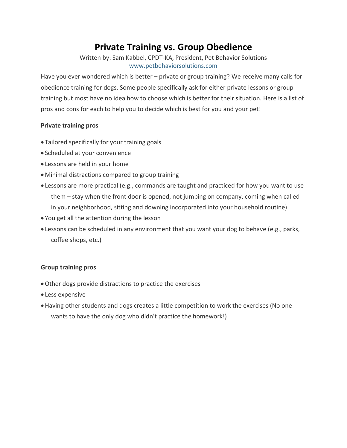# **Private Training vs. Group Obedience**

Written by: Sam Kabbel, CPDT-KA, President, Pet Behavior Solutions [www.petbehaviorsolutions.com](http://www.petbehaviorsolutions.com/)

Have you ever wondered which is better – private or group training? We receive many calls for obedience training for dogs. Some people specifically ask for either private lessons or group training but most have no idea how to choose which is better for their situation. Here is a list of pros and cons for each to help you to decide which is best for you and your pet!

## **Private training pros**

- Tailored specifically for your training goals
- Scheduled at your convenience
- Lessons are held in your home
- Minimal distractions compared to group training
- Lessons are more practical (e.g., commands are taught and practiced for how you want to use them – stay when the front door is opened, not jumping on company, coming when called in your neighborhood, sitting and downing incorporated into your household routine)
- You get all the attention during the lesson
- Lessons can be scheduled in any environment that you want your dog to behave (e.g., parks, coffee shops, etc.)

## **Group training pros**

- Other dogs provide distractions to practice the exercises
- Less expensive
- Having other students and dogs creates a little competition to work the exercises (No one wants to have the only dog who didn't practice the homework!)